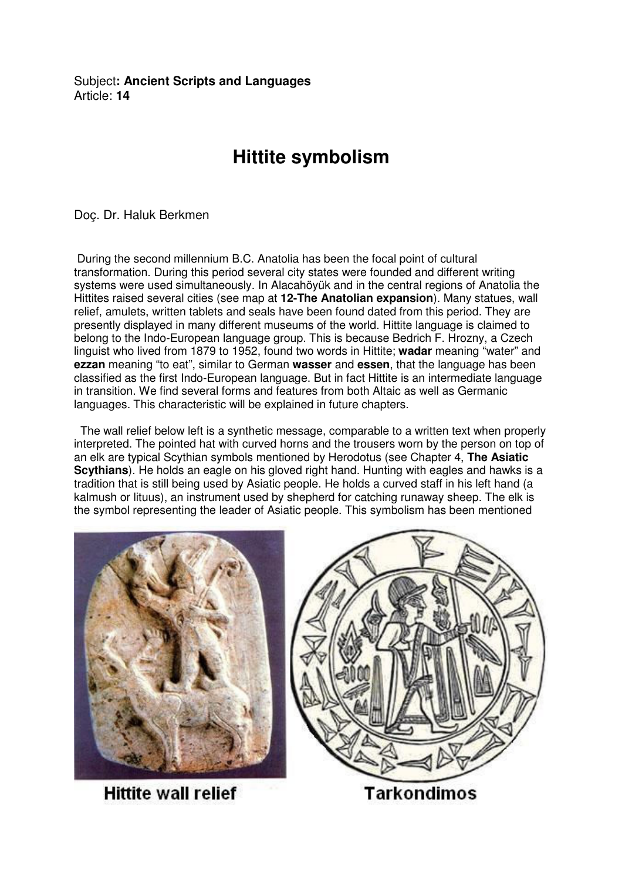Subject**: Ancient Scripts and Languages**  Article: **14**

## **Hittite symbolism**

Doç. Dr. Haluk Berkmen

 During the second millennium B.C. Anatolia has been the focal point of cultural transformation. During this period several city states were founded and different writing systems were used simultaneously. In Alacahöyük and in the central regions of Anatolia the Hittites raised several cities (see map at **12-The Anatolian expansion**). Many statues, wall relief, amulets, written tablets and seals have been found dated from this period. They are presently displayed in many different museums of the world. Hittite language is claimed to belong to the Indo-European language group. This is because Bedrich F. Hrozny, a Czech linguist who lived from 1879 to 1952, found two words in Hittite; **wadar** meaning "water" and **ezzan** meaning "to eat", similar to German **wasser** and **essen**, that the language has been classified as the first Indo-European language. But in fact Hittite is an intermediate language in transition. We find several forms and features from both Altaic as well as Germanic languages. This characteristic will be explained in future chapters.

 The wall relief below left is a synthetic message, comparable to a written text when properly interpreted. The pointed hat with curved horns and the trousers worn by the person on top of an elk are typical Scythian symbols mentioned by Herodotus (see Chapter 4, **The Asiatic Scythians**). He holds an eagle on his gloved right hand. Hunting with eagles and hawks is a tradition that is still being used by Asiatic people. He holds a curved staff in his left hand (a kalmush or lituus), an instrument used by shepherd for catching runaway sheep. The elk is the symbol representing the leader of Asiatic people. This symbolism has been mentioned



**Hittite wall relief** 



Tarkondimos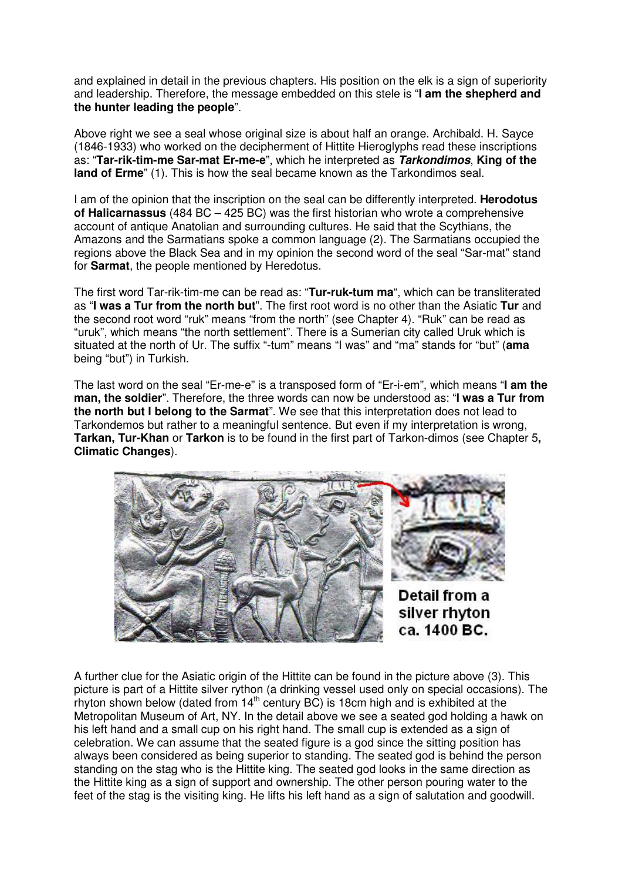and explained in detail in the previous chapters. His position on the elk is a sign of superiority and leadership. Therefore, the message embedded on this stele is "**I am the shepherd and the hunter leading the people**".

Above right we see a seal whose original size is about half an orange. Archibald. H. Sayce (1846-1933) who worked on the decipherment of Hittite Hieroglyphs read these inscriptions as: "**Tar-rik-tim-me Sar-mat Er-me-e**", which he interpreted as **Tarkondimos**, **King of the land of Erme**" (1). This is how the seal became known as the Tarkondimos seal.

I am of the opinion that the inscription on the seal can be differently interpreted. **Herodotus of Halicarnassus** (484 BC – 425 BC) was the first historian who wrote a comprehensive account of antique Anatolian and surrounding cultures. He said that the Scythians, the Amazons and the Sarmatians spoke a common language (2). The Sarmatians occupied the regions above the Black Sea and in my opinion the second word of the seal "Sar-mat" stand for **Sarmat**, the people mentioned by Heredotus.

The first word Tar-rik-tim-me can be read as: "**Tur-ruk-tum ma**", which can be transliterated as "**I was a Tur from the north but**". The first root word is no other than the Asiatic **Tur** and the second root word "ruk" means "from the north" (see Chapter 4). "Ruk" can be read as "uruk", which means "the north settlement". There is a Sumerian city called Uruk which is situated at the north of Ur. The suffix "-tum" means "I was" and "ma" stands for "but" (**ama** being "but") in Turkish.

The last word on the seal "Er-me-e" is a transposed form of "Er-i-em", which means "**I am the man, the soldier**". Therefore, the three words can now be understood as: "**I was a Tur from the north but I belong to the Sarmat**". We see that this interpretation does not lead to Tarkondemos but rather to a meaningful sentence. But even if my interpretation is wrong, **Tarkan, Tur-Khan** or **Tarkon** is to be found in the first part of Tarkon-dimos (see Chapter 5**, Climatic Changes**).



A further clue for the Asiatic origin of the Hittite can be found in the picture above (3). This picture is part of a Hittite silver rython (a drinking vessel used only on special occasions). The rhyton shown below (dated from  $14<sup>th</sup>$  century BC) is 18cm high and is exhibited at the Metropolitan Museum of Art, NY. In the detail above we see a seated god holding a hawk on his left hand and a small cup on his right hand. The small cup is extended as a sign of celebration. We can assume that the seated figure is a god since the sitting position has always been considered as being superior to standing. The seated god is behind the person standing on the stag who is the Hittite king. The seated god looks in the same direction as the Hittite king as a sign of support and ownership. The other person pouring water to the feet of the stag is the visiting king. He lifts his left hand as a sign of salutation and goodwill.